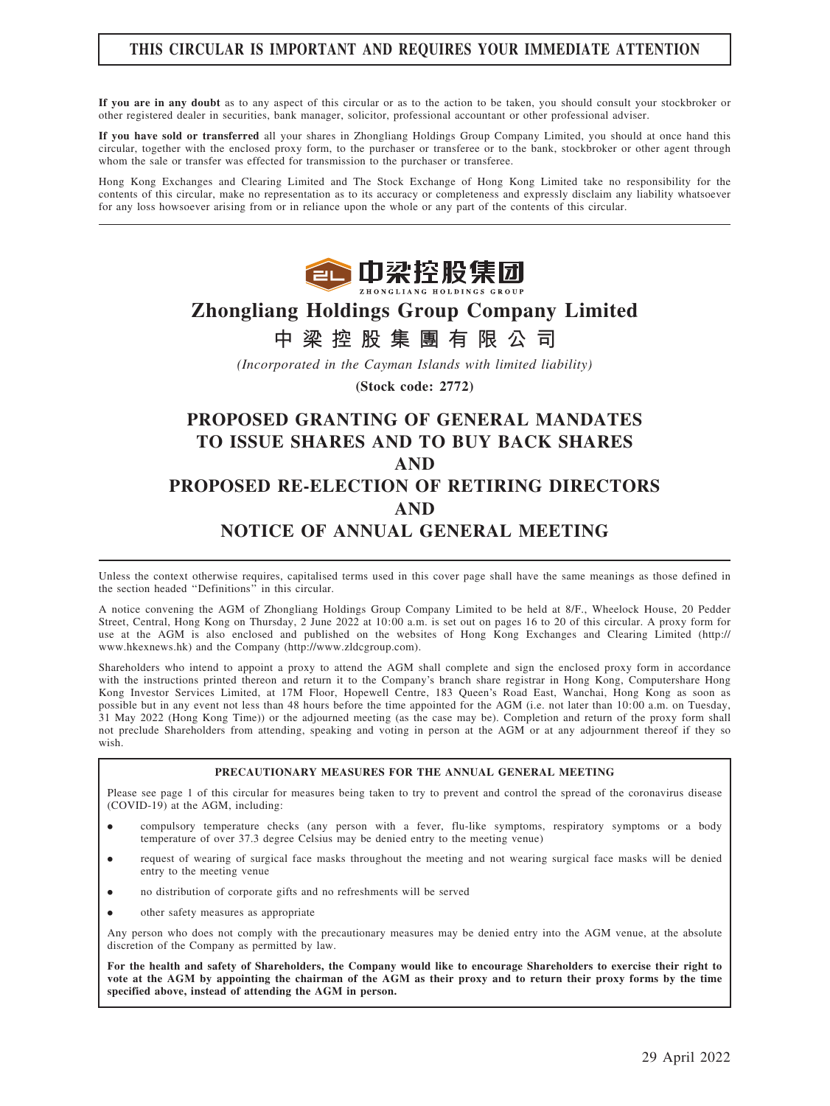# THIS CIRCULAR IS IMPORTANT AND REQUIRES YOUR IMMEDIATE ATTENTION

If you are in any doubt as to any aspect of this circular or as to the action to be taken, you should consult your stockbroker or other registered dealer in securities, bank manager, solicitor, professional accountant or other professional adviser.

If you have sold or transferred all your shares in Zhongliang Holdings Group Company Limited, you should at once hand this circular, together with the enclosed proxy form, to the purchaser or transferee or to the bank, stockbroker or other agent through whom the sale or transfer was effected for transmission to the purchaser or transferee.

Hong Kong Exchanges and Clearing Limited and The Stock Exchange of Hong Kong Limited take no responsibility for the contents of this circular, make no representation as to its accuracy or completeness and expressly disclaim any liability whatsoever for any loss howsoever arising from or in reliance upon the whole or any part of the contents of this circular.



# Zhongliang Holdings Group Company Limited

# 中 梁 控 股 集 團 有 限 公 司

(Incorporated in the Cayman Islands with limited liability)

(Stock code: 2772)

# PROPOSED GRANTING OF GENERAL MANDATES TO ISSUE SHARES AND TO BUY BACK SHARES AND PROPOSED RE-ELECTION OF RETIRING DIRECTORS AND NOTICE OF ANNUAL GENERAL MEETING

Unless the context otherwise requires, capitalised terms used in this cover page shall have the same meanings as those defined in the section headed ''Definitions'' in this circular.

A notice convening the AGM of Zhongliang Holdings Group Company Limited to be held at 8/F., Wheelock House, 20 Pedder Street, Central, Hong Kong on Thursday, 2 June 2022 at 10:00 a.m. is set out on pages 16 to 20 of this circular. A proxy form for use at the AGM is also enclosed and published on the websites of Hong Kong Exchanges and Clearing Limited (http:// www.hkexnews.hk) and the Company (http://www.zldcgroup.com).

Shareholders who intend to appoint a proxy to attend the AGM shall complete and sign the enclosed proxy form in accordance with the instructions printed thereon and return it to the Company's branch share registrar in Hong Kong, Computershare Hong Kong Investor Services Limited, at 17M Floor, Hopewell Centre, 183 Queen's Road East, Wanchai, Hong Kong as soon as possible but in any event not less than 48 hours before the time appointed for the AGM (i.e. not later than 10:00 a.m. on Tuesday, 31 May 2022 (Hong Kong Time)) or the adjourned meeting (as the case may be). Completion and return of the proxy form shall not preclude Shareholders from attending, speaking and voting in person at the AGM or at any adjournment thereof if they so wish.

#### PRECAUTIONARY MEASURES FOR THE ANNUAL GENERAL MEETING

Please see page 1 of this circular for measures being taken to try to prevent and control the spread of the coronavirus disease (COVID-19) at the AGM, including:

- . compulsory temperature checks (any person with a fever, flu-like symptoms, respiratory symptoms or a body temperature of over 37.3 degree Celsius may be denied entry to the meeting venue)
- . request of wearing of surgical face masks throughout the meeting and not wearing surgical face masks will be denied entry to the meeting venue
- . no distribution of corporate gifts and no refreshments will be served
- . other safety measures as appropriate

Any person who does not comply with the precautionary measures may be denied entry into the AGM venue, at the absolute discretion of the Company as permitted by law.

For the health and safety of Shareholders, the Company would like to encourage Shareholders to exercise their right to vote at the AGM by appointing the chairman of the AGM as their proxy and to return their proxy forms by the time specified above, instead of attending the AGM in person.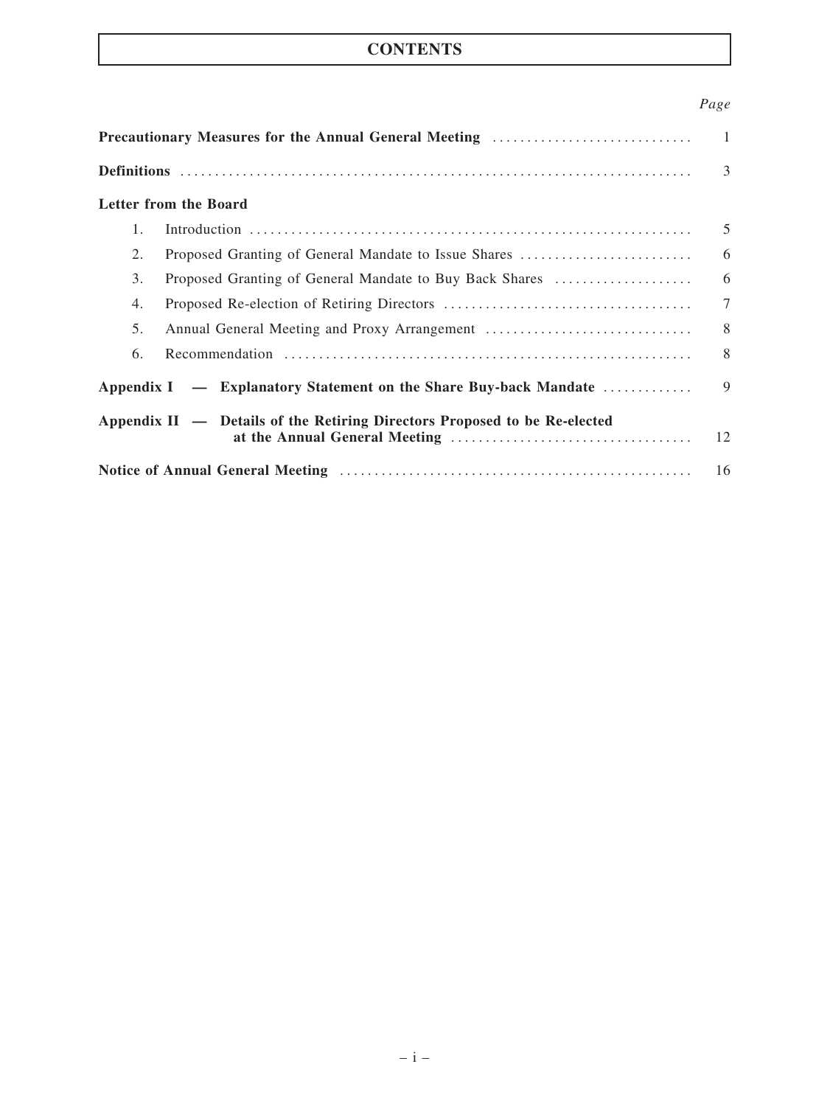# **CONTENTS**

# Page

| <b>Precautionary Measures for the Annual General Meeting Communication Constraints</b> |                                                                  |        |  |
|----------------------------------------------------------------------------------------|------------------------------------------------------------------|--------|--|
|                                                                                        |                                                                  |        |  |
|                                                                                        | Letter from the Board                                            |        |  |
| $1_{-}$                                                                                |                                                                  | .5     |  |
| 2.                                                                                     | Proposed Granting of General Mandate to Issue Shares             | 6      |  |
| 3.                                                                                     | Proposed Granting of General Mandate to Buy Back Shares          | 6      |  |
| 4.                                                                                     |                                                                  | $\tau$ |  |
| 5.                                                                                     |                                                                  | 8      |  |
| 6.                                                                                     |                                                                  | 8      |  |
|                                                                                        | Appendix I — Explanatory Statement on the Share Buy-back Mandate | 9      |  |
| Appendix II — Details of the Retiring Directors Proposed to be Re-elected              |                                                                  |        |  |
|                                                                                        |                                                                  |        |  |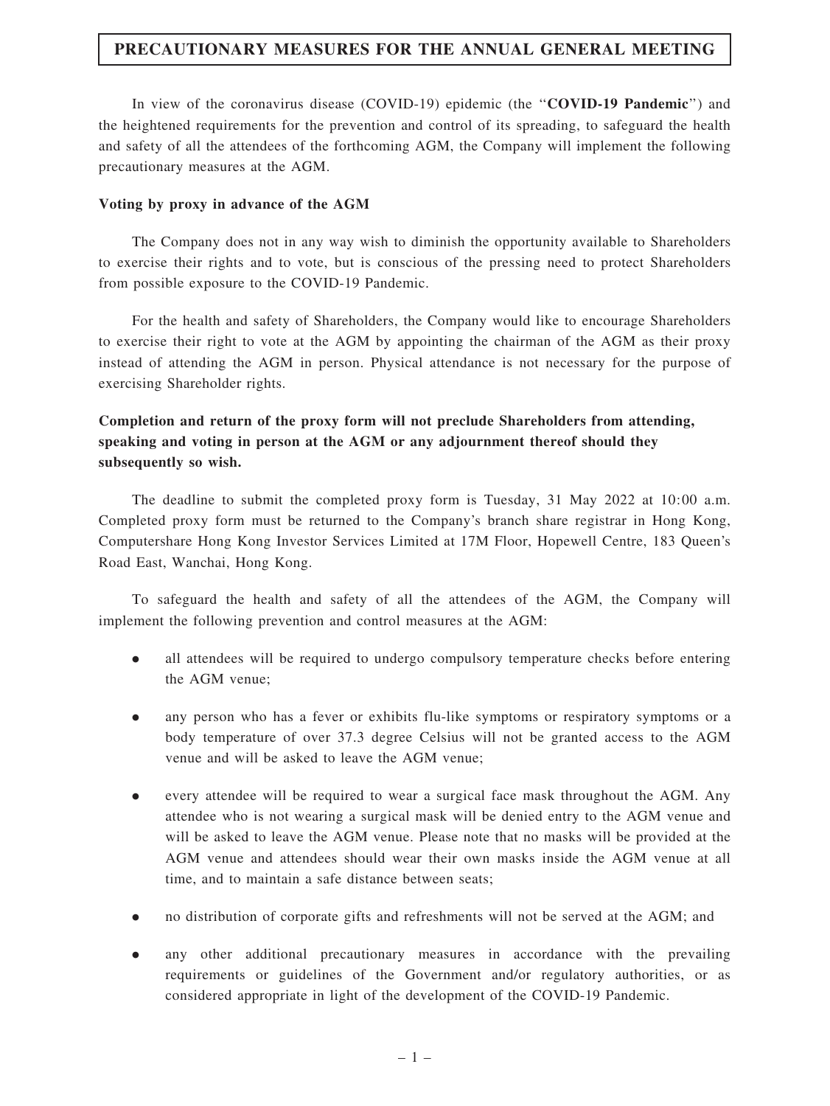# PRECAUTIONARY MEASURES FOR THE ANNUAL GENERAL MEETING

In view of the coronavirus disease (COVID-19) epidemic (the "COVID-19 Pandemic") and the heightened requirements for the prevention and control of its spreading, to safeguard the health and safety of all the attendees of the forthcoming AGM, the Company will implement the following precautionary measures at the AGM.

#### Voting by proxy in advance of the AGM

The Company does not in any way wish to diminish the opportunity available to Shareholders to exercise their rights and to vote, but is conscious of the pressing need to protect Shareholders from possible exposure to the COVID-19 Pandemic.

For the health and safety of Shareholders, the Company would like to encourage Shareholders to exercise their right to vote at the AGM by appointing the chairman of the AGM as their proxy instead of attending the AGM in person. Physical attendance is not necessary for the purpose of exercising Shareholder rights.

# Completion and return of the proxy form will not preclude Shareholders from attending, speaking and voting in person at the AGM or any adjournment thereof should they subsequently so wish.

The deadline to submit the completed proxy form is Tuesday, 31 May 2022 at 10:00 a.m. Completed proxy form must be returned to the Company's branch share registrar in Hong Kong, Computershare Hong Kong Investor Services Limited at 17M Floor, Hopewell Centre, 183 Queen's Road East, Wanchai, Hong Kong.

To safeguard the health and safety of all the attendees of the AGM, the Company will implement the following prevention and control measures at the AGM:

- . all attendees will be required to undergo compulsory temperature checks before entering the AGM venue;
- . any person who has a fever or exhibits flu-like symptoms or respiratory symptoms or a body temperature of over 37.3 degree Celsius will not be granted access to the AGM venue and will be asked to leave the AGM venue;
- . every attendee will be required to wear a surgical face mask throughout the AGM. Any attendee who is not wearing a surgical mask will be denied entry to the AGM venue and will be asked to leave the AGM venue. Please note that no masks will be provided at the AGM venue and attendees should wear their own masks inside the AGM venue at all time, and to maintain a safe distance between seats;
- . no distribution of corporate gifts and refreshments will not be served at the AGM; and
- . any other additional precautionary measures in accordance with the prevailing requirements or guidelines of the Government and/or regulatory authorities, or as considered appropriate in light of the development of the COVID-19 Pandemic.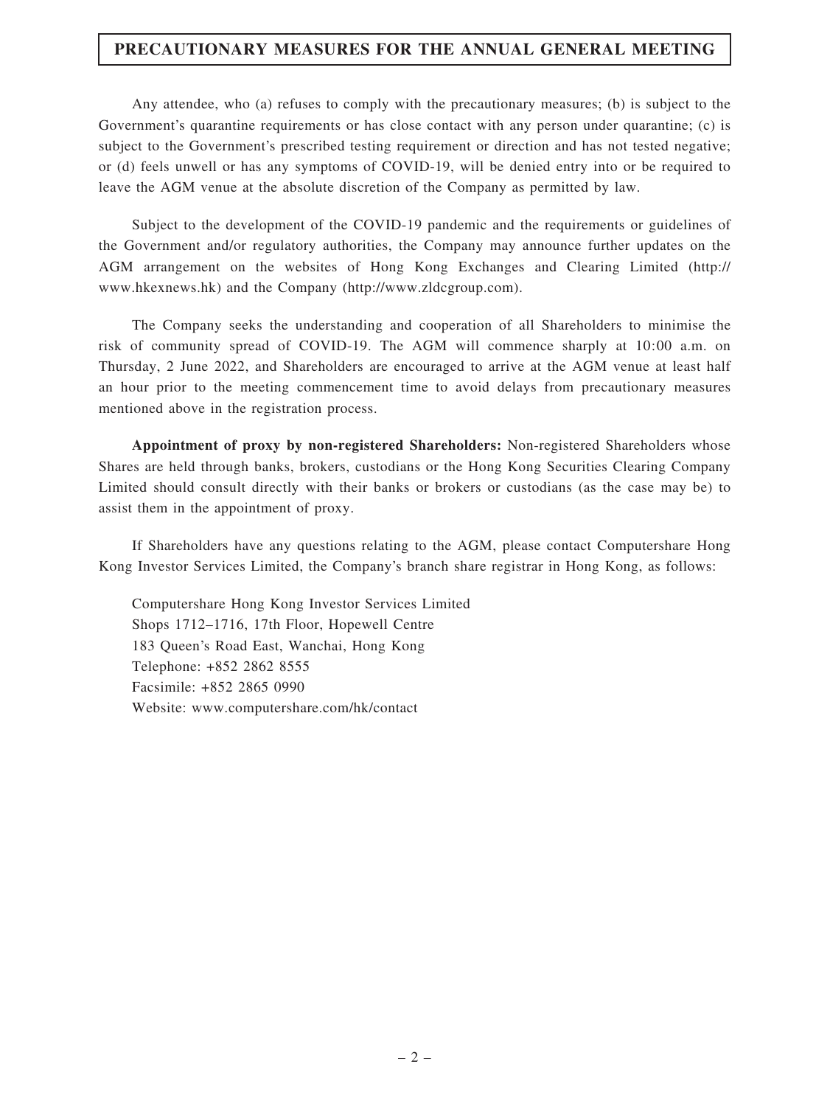# PRECAUTIONARY MEASURES FOR THE ANNUAL GENERAL MEETING

Any attendee, who (a) refuses to comply with the precautionary measures; (b) is subject to the Government's quarantine requirements or has close contact with any person under quarantine; (c) is subject to the Government's prescribed testing requirement or direction and has not tested negative; or (d) feels unwell or has any symptoms of COVID-19, will be denied entry into or be required to leave the AGM venue at the absolute discretion of the Company as permitted by law.

Subject to the development of the COVID-19 pandemic and the requirements or guidelines of the Government and/or regulatory authorities, the Company may announce further updates on the AGM arrangement on the websites of Hong Kong Exchanges and Clearing Limited (http:// www.hkexnews.hk) and the Company (http://www.zldcgroup.com).

The Company seeks the understanding and cooperation of all Shareholders to minimise the risk of community spread of COVID-19. The AGM will commence sharply at 10:00 a.m. on Thursday, 2 June 2022, and Shareholders are encouraged to arrive at the AGM venue at least half an hour prior to the meeting commencement time to avoid delays from precautionary measures mentioned above in the registration process.

Appointment of proxy by non-registered Shareholders: Non-registered Shareholders whose Shares are held through banks, brokers, custodians or the Hong Kong Securities Clearing Company Limited should consult directly with their banks or brokers or custodians (as the case may be) to assist them in the appointment of proxy.

If Shareholders have any questions relating to the AGM, please contact Computershare Hong Kong Investor Services Limited, the Company's branch share registrar in Hong Kong, as follows:

Computershare Hong Kong Investor Services Limited Shops 1712–1716, 17th Floor, Hopewell Centre 183 Queen's Road East, Wanchai, Hong Kong Telephone: +852 2862 8555 Facsimile: +852 2865 0990 Website: www.computershare.com/hk/contact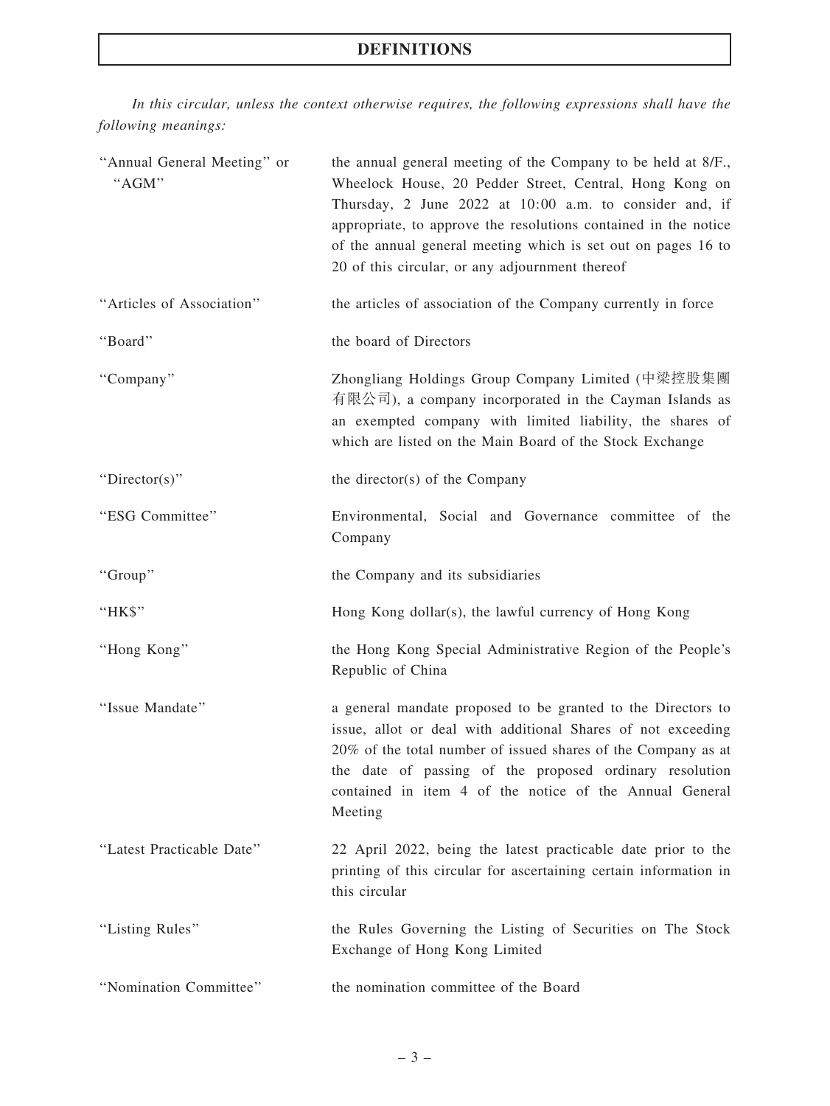# DEFINITIONS

In this circular, unless the context otherwise requires, the following expressions shall have the following meanings:

| "Annual General Meeting" or<br>"AGM" | the annual general meeting of the Company to be held at 8/F.,<br>Wheelock House, 20 Pedder Street, Central, Hong Kong on<br>Thursday, 2 June 2022 at 10:00 a.m. to consider and, if<br>appropriate, to approve the resolutions contained in the notice<br>of the annual general meeting which is set out on pages 16 to<br>20 of this circular, or any adjournment thereof |  |  |
|--------------------------------------|----------------------------------------------------------------------------------------------------------------------------------------------------------------------------------------------------------------------------------------------------------------------------------------------------------------------------------------------------------------------------|--|--|
| "Articles of Association"            | the articles of association of the Company currently in force                                                                                                                                                                                                                                                                                                              |  |  |
| "Board"                              | the board of Directors                                                                                                                                                                                                                                                                                                                                                     |  |  |
| "Company"                            | Zhongliang Holdings Group Company Limited (中梁控股集團<br>有限公司), a company incorporated in the Cayman Islands as<br>an exempted company with limited liability, the shares of<br>which are listed on the Main Board of the Stock Exchange                                                                                                                                       |  |  |
| "Director(s)"                        | the director(s) of the Company                                                                                                                                                                                                                                                                                                                                             |  |  |
| "ESG Committee"                      | Environmental, Social and Governance committee of the<br>Company                                                                                                                                                                                                                                                                                                           |  |  |
| "Group"                              | the Company and its subsidiaries                                                                                                                                                                                                                                                                                                                                           |  |  |
| "HK\$"                               | Hong Kong dollar(s), the lawful currency of Hong Kong                                                                                                                                                                                                                                                                                                                      |  |  |
| "Hong Kong"                          | the Hong Kong Special Administrative Region of the People's<br>Republic of China                                                                                                                                                                                                                                                                                           |  |  |
| "Issue Mandate"                      | a general mandate proposed to be granted to the Directors to<br>issue, allot or deal with additional Shares of not exceeding<br>20% of the total number of issued shares of the Company as at<br>the date of passing of the proposed ordinary resolution<br>contained in item 4 of the notice of the Annual General<br>Meeting                                             |  |  |
| "Latest Practicable Date"            | 22 April 2022, being the latest practicable date prior to the<br>printing of this circular for ascertaining certain information in<br>this circular                                                                                                                                                                                                                        |  |  |
| "Listing Rules"                      | the Rules Governing the Listing of Securities on The Stock<br>Exchange of Hong Kong Limited                                                                                                                                                                                                                                                                                |  |  |
| "Nomination Committee"               | the nomination committee of the Board                                                                                                                                                                                                                                                                                                                                      |  |  |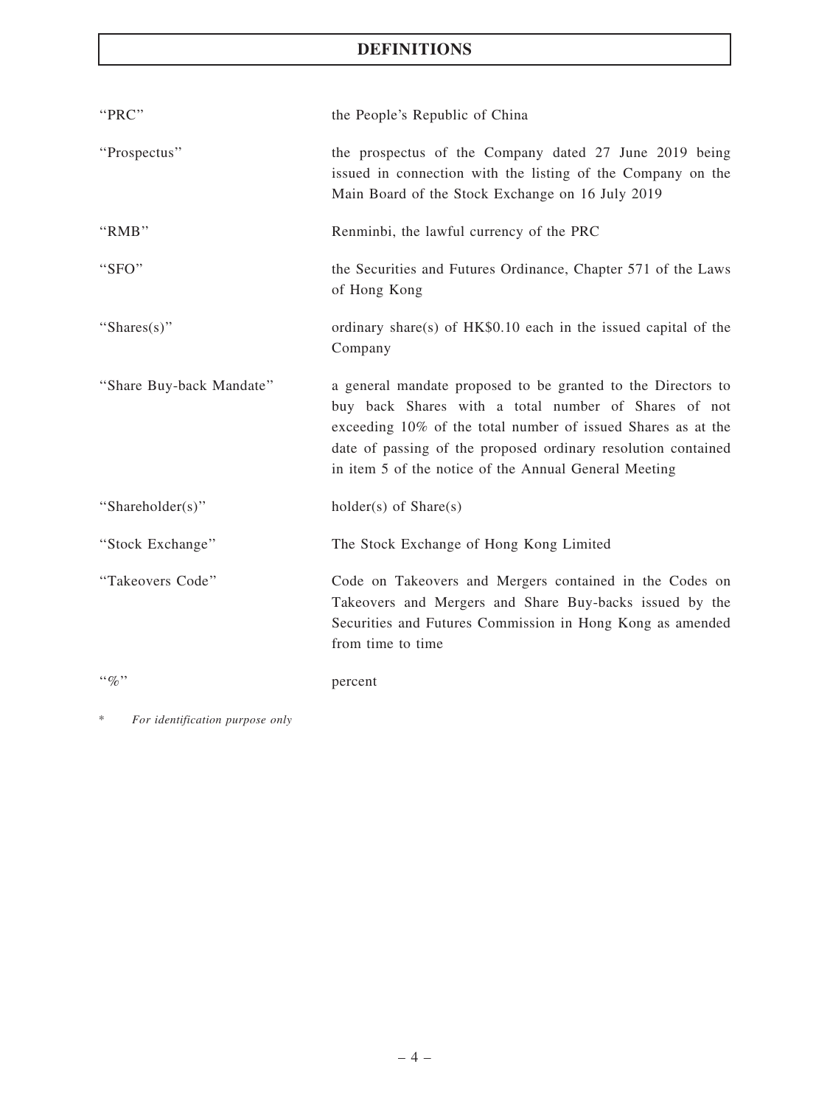# DEFINITIONS

| "PRC"                    | the People's Republic of China                                                                                                                                                                                                                                                                                 |
|--------------------------|----------------------------------------------------------------------------------------------------------------------------------------------------------------------------------------------------------------------------------------------------------------------------------------------------------------|
| "Prospectus"             | the prospectus of the Company dated 27 June 2019 being<br>issued in connection with the listing of the Company on the<br>Main Board of the Stock Exchange on 16 July 2019                                                                                                                                      |
| "RMB"                    | Renminbi, the lawful currency of the PRC                                                                                                                                                                                                                                                                       |
| "SFO"                    | the Securities and Futures Ordinance, Chapter 571 of the Laws<br>of Hong Kong                                                                                                                                                                                                                                  |
| "Shares $(s)$ "          | ordinary share(s) of HK\$0.10 each in the issued capital of the<br>Company                                                                                                                                                                                                                                     |
| "Share Buy-back Mandate" | a general mandate proposed to be granted to the Directors to<br>buy back Shares with a total number of Shares of not<br>exceeding 10% of the total number of issued Shares as at the<br>date of passing of the proposed ordinary resolution contained<br>in item 5 of the notice of the Annual General Meeting |
| "Shareholder(s)"         | $holder(s)$ of $Share(s)$                                                                                                                                                                                                                                                                                      |
| "Stock Exchange"         | The Stock Exchange of Hong Kong Limited                                                                                                                                                                                                                                                                        |
| "Takeovers Code"         | Code on Takeovers and Mergers contained in the Codes on<br>Takeovers and Mergers and Share Buy-backs issued by the<br>Securities and Futures Commission in Hong Kong as amended<br>from time to time                                                                                                           |
| $``\%"$                  | percent                                                                                                                                                                                                                                                                                                        |

\* For identification purpose only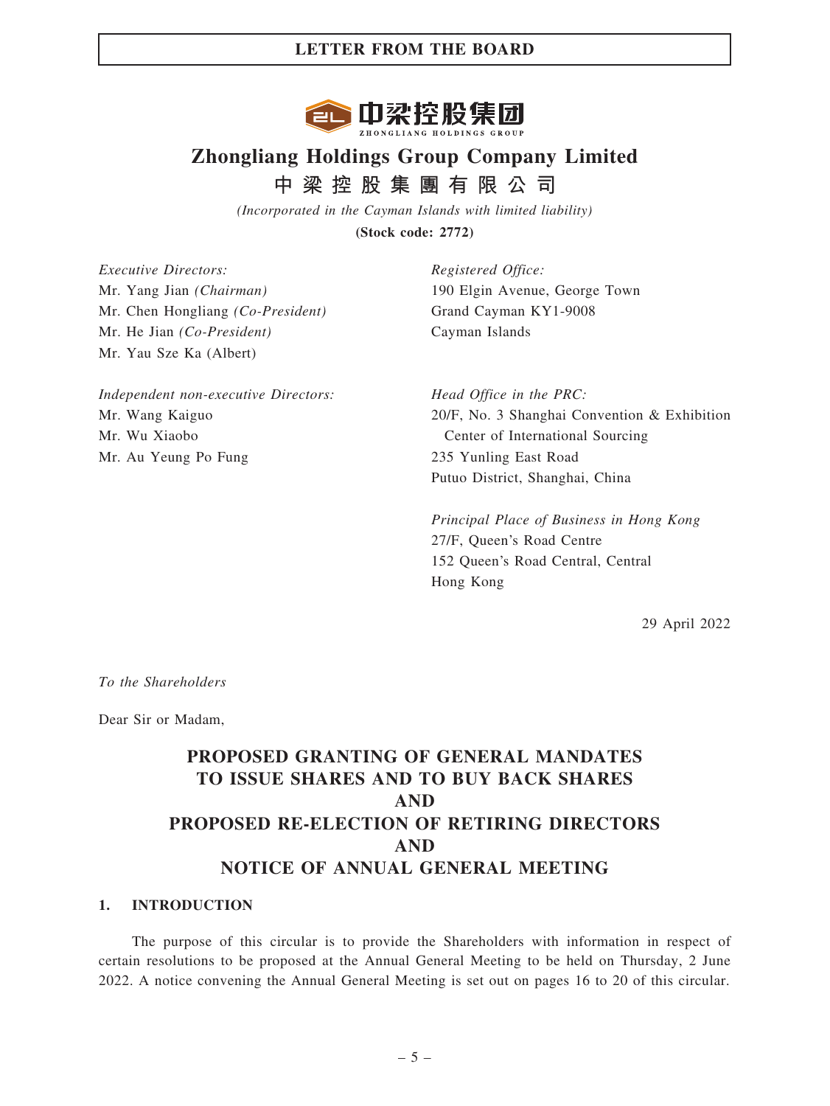

# Zhongliang Holdings Group Company Limited 中 梁 控 股 集 團 有 限 公 司

(Incorporated in the Cayman Islands with limited liability) (Stock code: 2772)

Executive Directors: Mr. Yang Jian (Chairman) Mr. Chen Hongliang (Co-President) Mr. He Jian (Co-President) Mr. Yau Sze Ka (Albert)

Independent non-executive Directors: Mr. Wang Kaiguo Mr. Wu Xiaobo Mr. Au Yeung Po Fung

Registered Office: 190 Elgin Avenue, George Town Grand Cayman KY1-9008 Cayman Islands

Head Office in the PRC: 20/F, No. 3 Shanghai Convention & Exhibition Center of International Sourcing 235 Yunling East Road Putuo District, Shanghai, China

Principal Place of Business in Hong Kong 27/F, Queen's Road Centre 152 Queen's Road Central, Central Hong Kong

29 April 2022

To the Shareholders

Dear Sir or Madam,

# PROPOSED GRANTING OF GENERAL MANDATES TO ISSUE SHARES AND TO BUY BACK SHARES AND PROPOSED RE-ELECTION OF RETIRING DIRECTORS AND NOTICE OF ANNUAL GENERAL MEETING

#### 1. INTRODUCTION

The purpose of this circular is to provide the Shareholders with information in respect of certain resolutions to be proposed at the Annual General Meeting to be held on Thursday, 2 June 2022. A notice convening the Annual General Meeting is set out on pages 16 to 20 of this circular.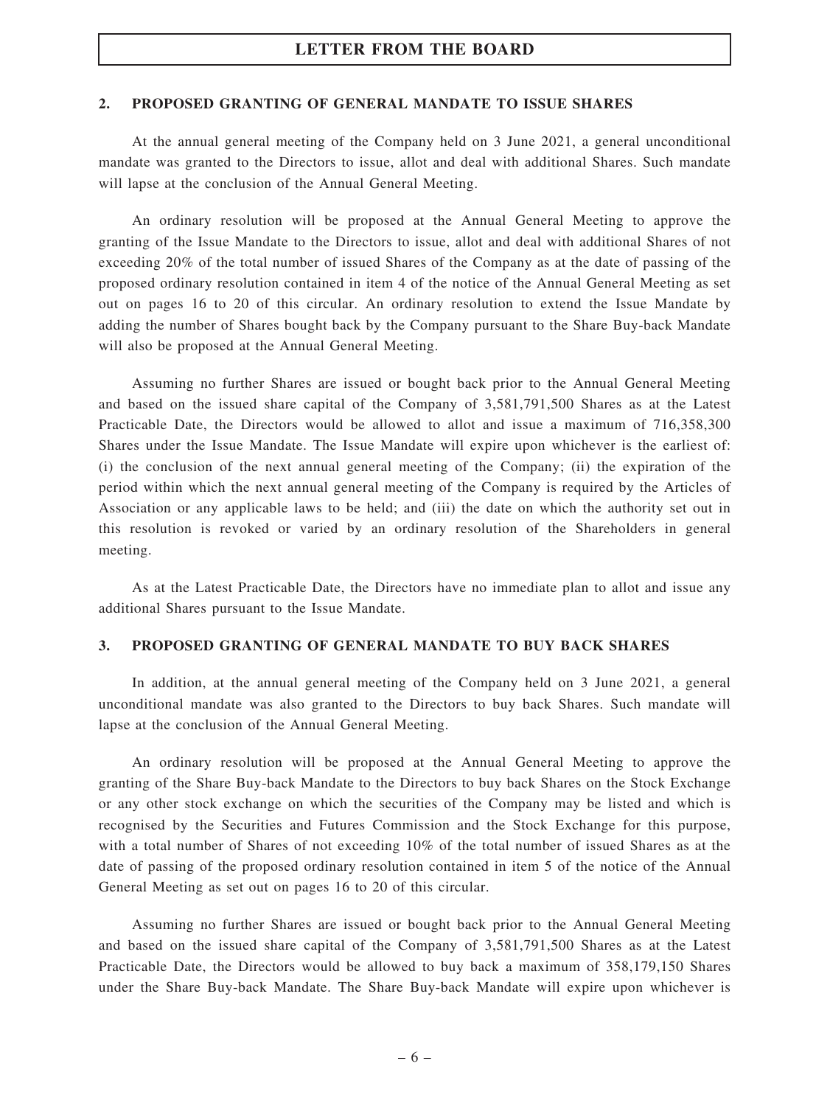#### 2. PROPOSED GRANTING OF GENERAL MANDATE TO ISSUE SHARES

At the annual general meeting of the Company held on 3 June 2021, a general unconditional mandate was granted to the Directors to issue, allot and deal with additional Shares. Such mandate will lapse at the conclusion of the Annual General Meeting.

An ordinary resolution will be proposed at the Annual General Meeting to approve the granting of the Issue Mandate to the Directors to issue, allot and deal with additional Shares of not exceeding 20% of the total number of issued Shares of the Company as at the date of passing of the proposed ordinary resolution contained in item 4 of the notice of the Annual General Meeting as set out on pages 16 to 20 of this circular. An ordinary resolution to extend the Issue Mandate by adding the number of Shares bought back by the Company pursuant to the Share Buy-back Mandate will also be proposed at the Annual General Meeting.

Assuming no further Shares are issued or bought back prior to the Annual General Meeting and based on the issued share capital of the Company of 3,581,791,500 Shares as at the Latest Practicable Date, the Directors would be allowed to allot and issue a maximum of 716,358,300 Shares under the Issue Mandate. The Issue Mandate will expire upon whichever is the earliest of: (i) the conclusion of the next annual general meeting of the Company; (ii) the expiration of the period within which the next annual general meeting of the Company is required by the Articles of Association or any applicable laws to be held; and (iii) the date on which the authority set out in this resolution is revoked or varied by an ordinary resolution of the Shareholders in general meeting.

As at the Latest Practicable Date, the Directors have no immediate plan to allot and issue any additional Shares pursuant to the Issue Mandate.

#### 3. PROPOSED GRANTING OF GENERAL MANDATE TO BUY BACK SHARES

In addition, at the annual general meeting of the Company held on 3 June 2021, a general unconditional mandate was also granted to the Directors to buy back Shares. Such mandate will lapse at the conclusion of the Annual General Meeting.

An ordinary resolution will be proposed at the Annual General Meeting to approve the granting of the Share Buy-back Mandate to the Directors to buy back Shares on the Stock Exchange or any other stock exchange on which the securities of the Company may be listed and which is recognised by the Securities and Futures Commission and the Stock Exchange for this purpose, with a total number of Shares of not exceeding 10% of the total number of issued Shares as at the date of passing of the proposed ordinary resolution contained in item 5 of the notice of the Annual General Meeting as set out on pages 16 to 20 of this circular.

Assuming no further Shares are issued or bought back prior to the Annual General Meeting and based on the issued share capital of the Company of 3,581,791,500 Shares as at the Latest Practicable Date, the Directors would be allowed to buy back a maximum of 358,179,150 Shares under the Share Buy-back Mandate. The Share Buy-back Mandate will expire upon whichever is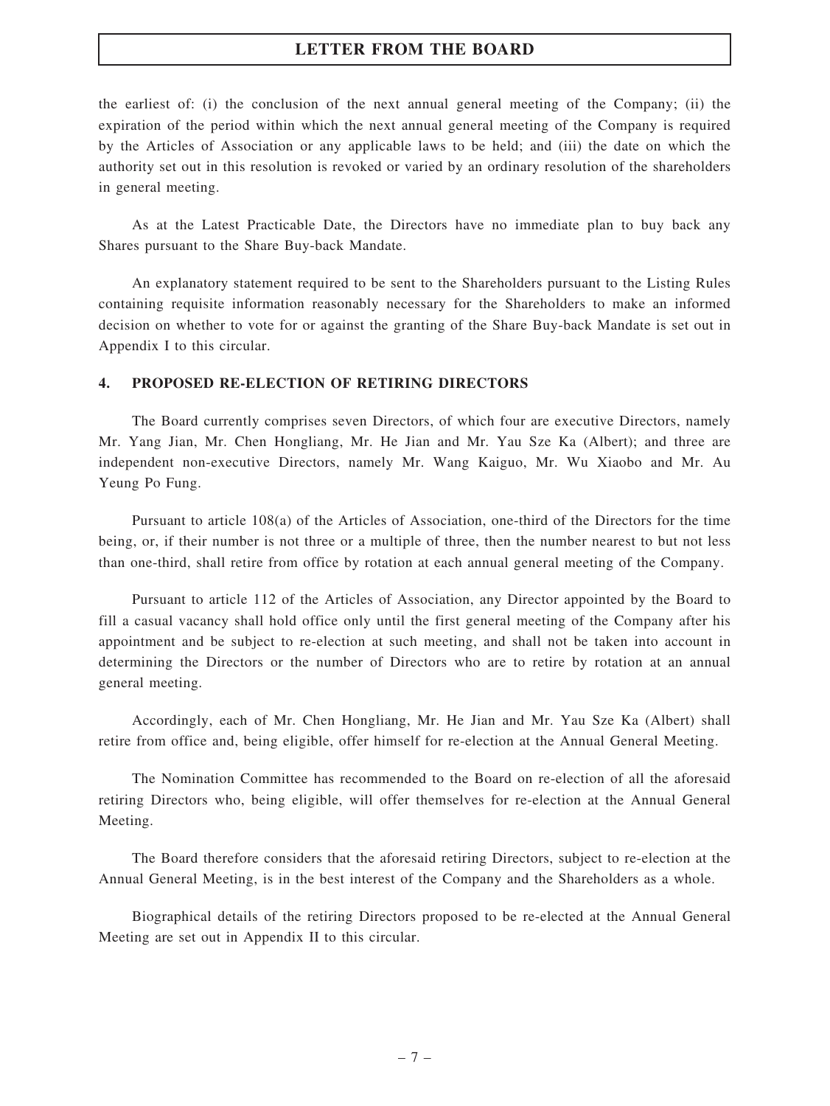the earliest of: (i) the conclusion of the next annual general meeting of the Company; (ii) the expiration of the period within which the next annual general meeting of the Company is required by the Articles of Association or any applicable laws to be held; and (iii) the date on which the authority set out in this resolution is revoked or varied by an ordinary resolution of the shareholders in general meeting.

As at the Latest Practicable Date, the Directors have no immediate plan to buy back any Shares pursuant to the Share Buy-back Mandate.

An explanatory statement required to be sent to the Shareholders pursuant to the Listing Rules containing requisite information reasonably necessary for the Shareholders to make an informed decision on whether to vote for or against the granting of the Share Buy-back Mandate is set out in Appendix I to this circular.

#### 4. PROPOSED RE-ELECTION OF RETIRING DIRECTORS

The Board currently comprises seven Directors, of which four are executive Directors, namely Mr. Yang Jian, Mr. Chen Hongliang, Mr. He Jian and Mr. Yau Sze Ka (Albert); and three are independent non-executive Directors, namely Mr. Wang Kaiguo, Mr. Wu Xiaobo and Mr. Au Yeung Po Fung.

Pursuant to article 108(a) of the Articles of Association, one-third of the Directors for the time being, or, if their number is not three or a multiple of three, then the number nearest to but not less than one-third, shall retire from office by rotation at each annual general meeting of the Company.

Pursuant to article 112 of the Articles of Association, any Director appointed by the Board to fill a casual vacancy shall hold office only until the first general meeting of the Company after his appointment and be subject to re-election at such meeting, and shall not be taken into account in determining the Directors or the number of Directors who are to retire by rotation at an annual general meeting.

Accordingly, each of Mr. Chen Hongliang, Mr. He Jian and Mr. Yau Sze Ka (Albert) shall retire from office and, being eligible, offer himself for re-election at the Annual General Meeting.

The Nomination Committee has recommended to the Board on re-election of all the aforesaid retiring Directors who, being eligible, will offer themselves for re-election at the Annual General Meeting.

The Board therefore considers that the aforesaid retiring Directors, subject to re-election at the Annual General Meeting, is in the best interest of the Company and the Shareholders as a whole.

Biographical details of the retiring Directors proposed to be re-elected at the Annual General Meeting are set out in Appendix II to this circular.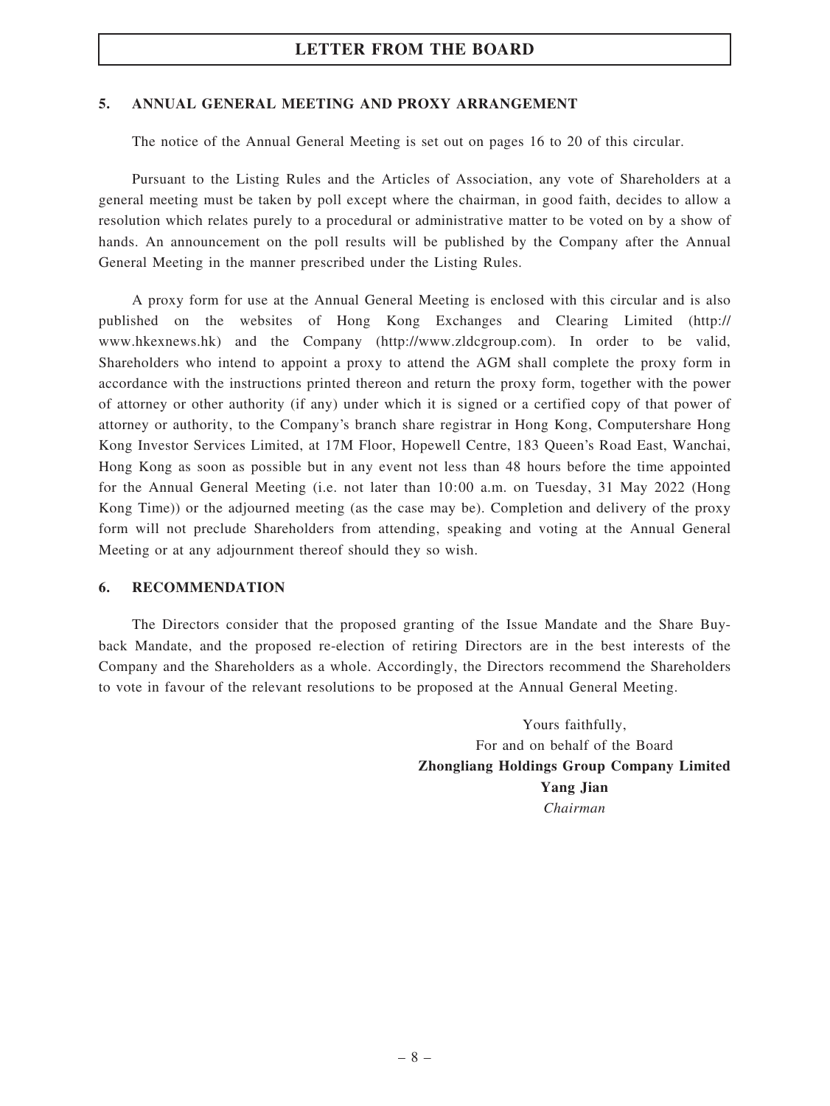#### 5. ANNUAL GENERAL MEETING AND PROXY ARRANGEMENT

The notice of the Annual General Meeting is set out on pages 16 to 20 of this circular.

Pursuant to the Listing Rules and the Articles of Association, any vote of Shareholders at a general meeting must be taken by poll except where the chairman, in good faith, decides to allow a resolution which relates purely to a procedural or administrative matter to be voted on by a show of hands. An announcement on the poll results will be published by the Company after the Annual General Meeting in the manner prescribed under the Listing Rules.

A proxy form for use at the Annual General Meeting is enclosed with this circular and is also published on the websites of Hong Kong Exchanges and Clearing Limited (http:// www.hkexnews.hk) and the Company (http://www.zldcgroup.com). In order to be valid, Shareholders who intend to appoint a proxy to attend the AGM shall complete the proxy form in accordance with the instructions printed thereon and return the proxy form, together with the power of attorney or other authority (if any) under which it is signed or a certified copy of that power of attorney or authority, to the Company's branch share registrar in Hong Kong, Computershare Hong Kong Investor Services Limited, at 17M Floor, Hopewell Centre, 183 Queen's Road East, Wanchai, Hong Kong as soon as possible but in any event not less than 48 hours before the time appointed for the Annual General Meeting (i.e. not later than 10:00 a.m. on Tuesday, 31 May 2022 (Hong Kong Time)) or the adjourned meeting (as the case may be). Completion and delivery of the proxy form will not preclude Shareholders from attending, speaking and voting at the Annual General Meeting or at any adjournment thereof should they so wish.

#### 6. RECOMMENDATION

The Directors consider that the proposed granting of the Issue Mandate and the Share Buyback Mandate, and the proposed re-election of retiring Directors are in the best interests of the Company and the Shareholders as a whole. Accordingly, the Directors recommend the Shareholders to vote in favour of the relevant resolutions to be proposed at the Annual General Meeting.

> Yours faithfully, For and on behalf of the Board Zhongliang Holdings Group Company Limited Yang Jian Chairman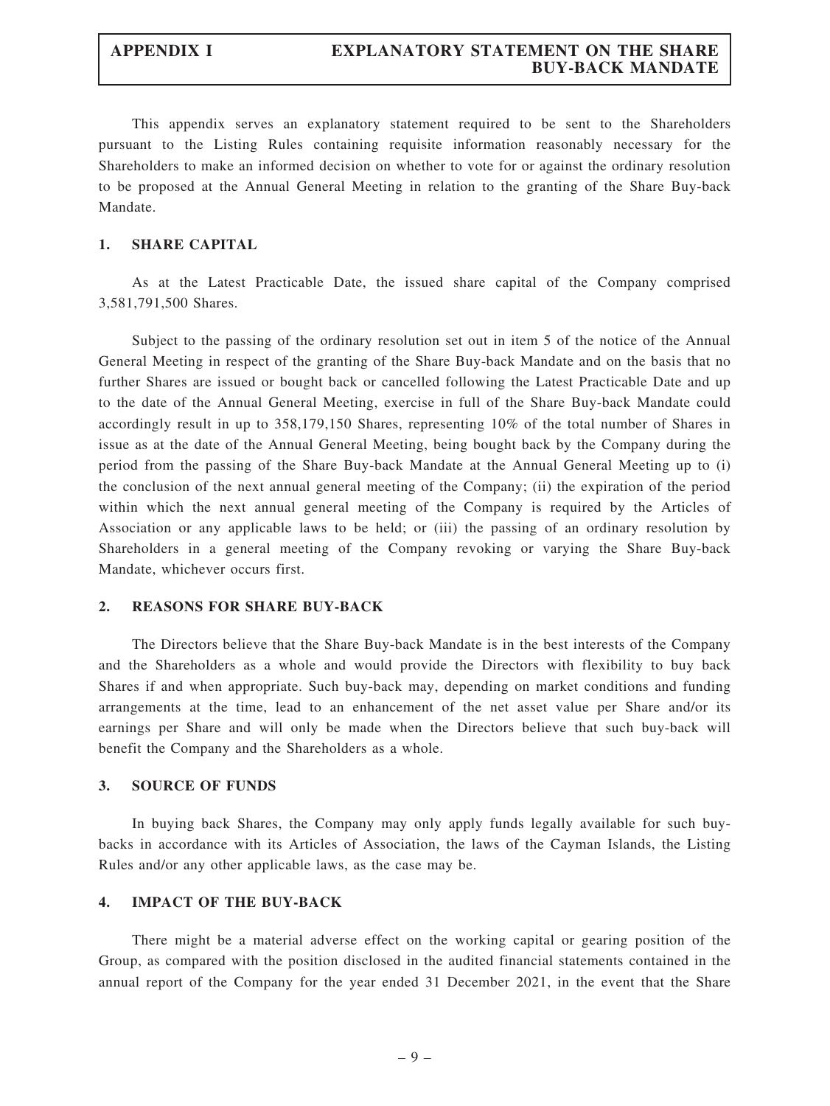This appendix serves an explanatory statement required to be sent to the Shareholders pursuant to the Listing Rules containing requisite information reasonably necessary for the Shareholders to make an informed decision on whether to vote for or against the ordinary resolution to be proposed at the Annual General Meeting in relation to the granting of the Share Buy-back Mandate.

#### 1. SHARE CAPITAL

As at the Latest Practicable Date, the issued share capital of the Company comprised 3,581,791,500 Shares.

Subject to the passing of the ordinary resolution set out in item 5 of the notice of the Annual General Meeting in respect of the granting of the Share Buy-back Mandate and on the basis that no further Shares are issued or bought back or cancelled following the Latest Practicable Date and up to the date of the Annual General Meeting, exercise in full of the Share Buy-back Mandate could accordingly result in up to 358,179,150 Shares, representing 10% of the total number of Shares in issue as at the date of the Annual General Meeting, being bought back by the Company during the period from the passing of the Share Buy-back Mandate at the Annual General Meeting up to (i) the conclusion of the next annual general meeting of the Company; (ii) the expiration of the period within which the next annual general meeting of the Company is required by the Articles of Association or any applicable laws to be held; or (iii) the passing of an ordinary resolution by Shareholders in a general meeting of the Company revoking or varying the Share Buy-back Mandate, whichever occurs first.

#### 2. REASONS FOR SHARE BUY-BACK

The Directors believe that the Share Buy-back Mandate is in the best interests of the Company and the Shareholders as a whole and would provide the Directors with flexibility to buy back Shares if and when appropriate. Such buy-back may, depending on market conditions and funding arrangements at the time, lead to an enhancement of the net asset value per Share and/or its earnings per Share and will only be made when the Directors believe that such buy-back will benefit the Company and the Shareholders as a whole.

#### 3. SOURCE OF FUNDS

In buying back Shares, the Company may only apply funds legally available for such buybacks in accordance with its Articles of Association, the laws of the Cayman Islands, the Listing Rules and/or any other applicable laws, as the case may be.

#### 4. IMPACT OF THE BUY-BACK

There might be a material adverse effect on the working capital or gearing position of the Group, as compared with the position disclosed in the audited financial statements contained in the annual report of the Company for the year ended 31 December 2021, in the event that the Share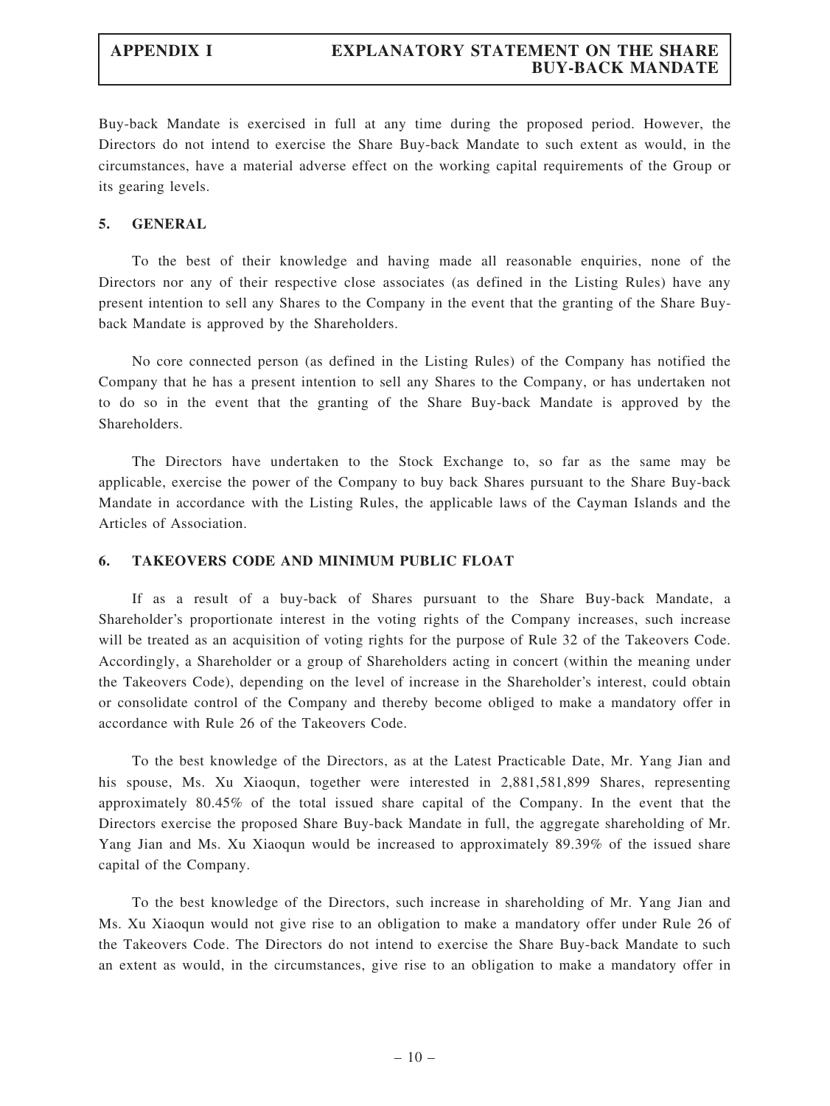Buy-back Mandate is exercised in full at any time during the proposed period. However, the Directors do not intend to exercise the Share Buy-back Mandate to such extent as would, in the circumstances, have a material adverse effect on the working capital requirements of the Group or its gearing levels.

#### 5. GENERAL

To the best of their knowledge and having made all reasonable enquiries, none of the Directors nor any of their respective close associates (as defined in the Listing Rules) have any present intention to sell any Shares to the Company in the event that the granting of the Share Buyback Mandate is approved by the Shareholders.

No core connected person (as defined in the Listing Rules) of the Company has notified the Company that he has a present intention to sell any Shares to the Company, or has undertaken not to do so in the event that the granting of the Share Buy-back Mandate is approved by the Shareholders.

The Directors have undertaken to the Stock Exchange to, so far as the same may be applicable, exercise the power of the Company to buy back Shares pursuant to the Share Buy-back Mandate in accordance with the Listing Rules, the applicable laws of the Cayman Islands and the Articles of Association.

#### 6. TAKEOVERS CODE AND MINIMUM PUBLIC FLOAT

If as a result of a buy-back of Shares pursuant to the Share Buy-back Mandate, a Shareholder's proportionate interest in the voting rights of the Company increases, such increase will be treated as an acquisition of voting rights for the purpose of Rule 32 of the Takeovers Code. Accordingly, a Shareholder or a group of Shareholders acting in concert (within the meaning under the Takeovers Code), depending on the level of increase in the Shareholder's interest, could obtain or consolidate control of the Company and thereby become obliged to make a mandatory offer in accordance with Rule 26 of the Takeovers Code.

To the best knowledge of the Directors, as at the Latest Practicable Date, Mr. Yang Jian and his spouse, Ms. Xu Xiaoqun, together were interested in 2,881,581,899 Shares, representing approximately 80.45% of the total issued share capital of the Company. In the event that the Directors exercise the proposed Share Buy-back Mandate in full, the aggregate shareholding of Mr. Yang Jian and Ms. Xu Xiaoqun would be increased to approximately 89.39% of the issued share capital of the Company.

To the best knowledge of the Directors, such increase in shareholding of Mr. Yang Jian and Ms. Xu Xiaoqun would not give rise to an obligation to make a mandatory offer under Rule 26 of the Takeovers Code. The Directors do not intend to exercise the Share Buy-back Mandate to such an extent as would, in the circumstances, give rise to an obligation to make a mandatory offer in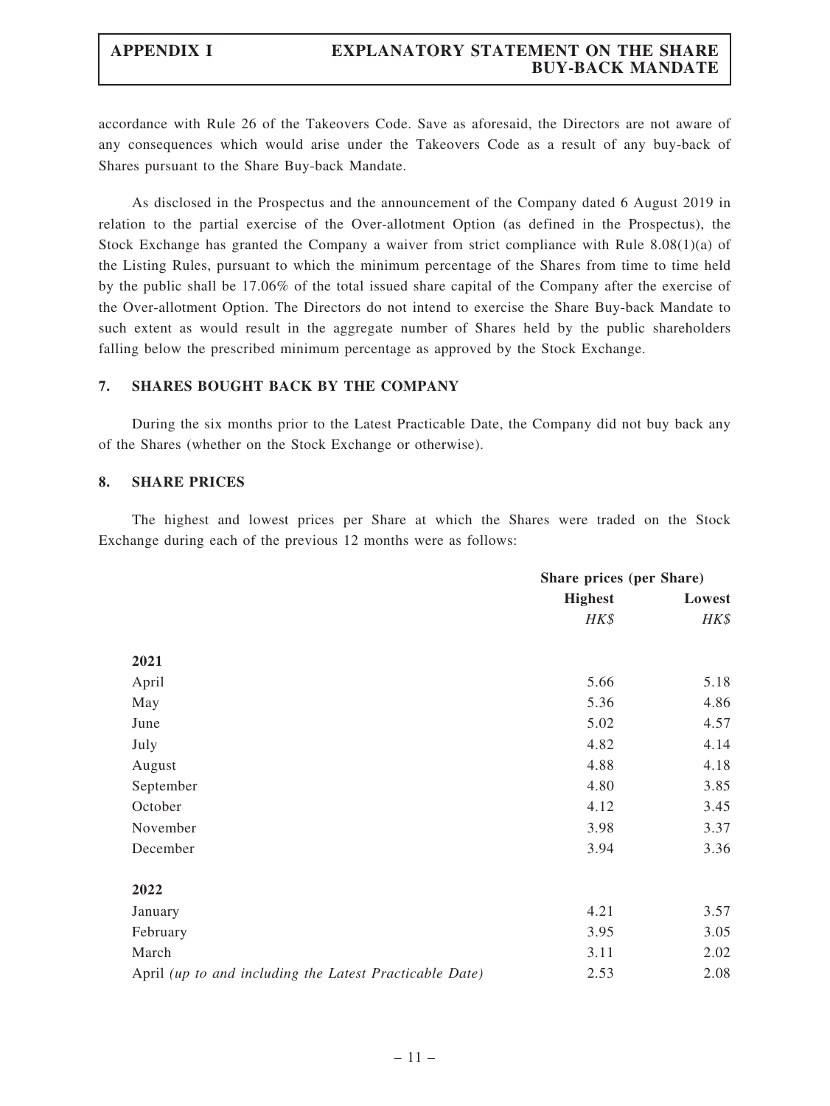### APPENDIX I EXPLANATORY STATEMENT ON THE SHARE BUY-BACK MANDATE

accordance with Rule 26 of the Takeovers Code. Save as aforesaid, the Directors are not aware of any consequences which would arise under the Takeovers Code as a result of any buy-back of Shares pursuant to the Share Buy-back Mandate.

As disclosed in the Prospectus and the announcement of the Company dated 6 August 2019 in relation to the partial exercise of the Over-allotment Option (as defined in the Prospectus), the Stock Exchange has granted the Company a waiver from strict compliance with Rule 8.08(1)(a) of the Listing Rules, pursuant to which the minimum percentage of the Shares from time to time held by the public shall be 17.06% of the total issued share capital of the Company after the exercise of the Over-allotment Option. The Directors do not intend to exercise the Share Buy-back Mandate to such extent as would result in the aggregate number of Shares held by the public shareholders falling below the prescribed minimum percentage as approved by the Stock Exchange.

#### 7. SHARES BOUGHT BACK BY THE COMPANY

During the six months prior to the Latest Practicable Date, the Company did not buy back any of the Shares (whether on the Stock Exchange or otherwise).

#### 8. SHARE PRICES

The highest and lowest prices per Share at which the Shares were traded on the Stock Exchange during each of the previous 12 months were as follows:

|                                                         |                | Share prices (per Share) |  |
|---------------------------------------------------------|----------------|--------------------------|--|
|                                                         | <b>Highest</b> | Lowest                   |  |
|                                                         | HK\$           | HK\$                     |  |
| 2021                                                    |                |                          |  |
| April                                                   | 5.66           | 5.18                     |  |
| May                                                     | 5.36           | 4.86                     |  |
| June                                                    | 5.02           | 4.57                     |  |
| July                                                    | 4.82           | 4.14                     |  |
| August                                                  | 4.88           | 4.18                     |  |
| September                                               | 4.80           | 3.85                     |  |
| October                                                 | 4.12           | 3.45                     |  |
| November                                                | 3.98           | 3.37                     |  |
| December                                                | 3.94           | 3.36                     |  |
| 2022                                                    |                |                          |  |
| January                                                 | 4.21           | 3.57                     |  |
| February                                                | 3.95           | 3.05                     |  |
| March                                                   | 3.11           | 2.02                     |  |
| April (up to and including the Latest Practicable Date) | 2.53           | 2.08                     |  |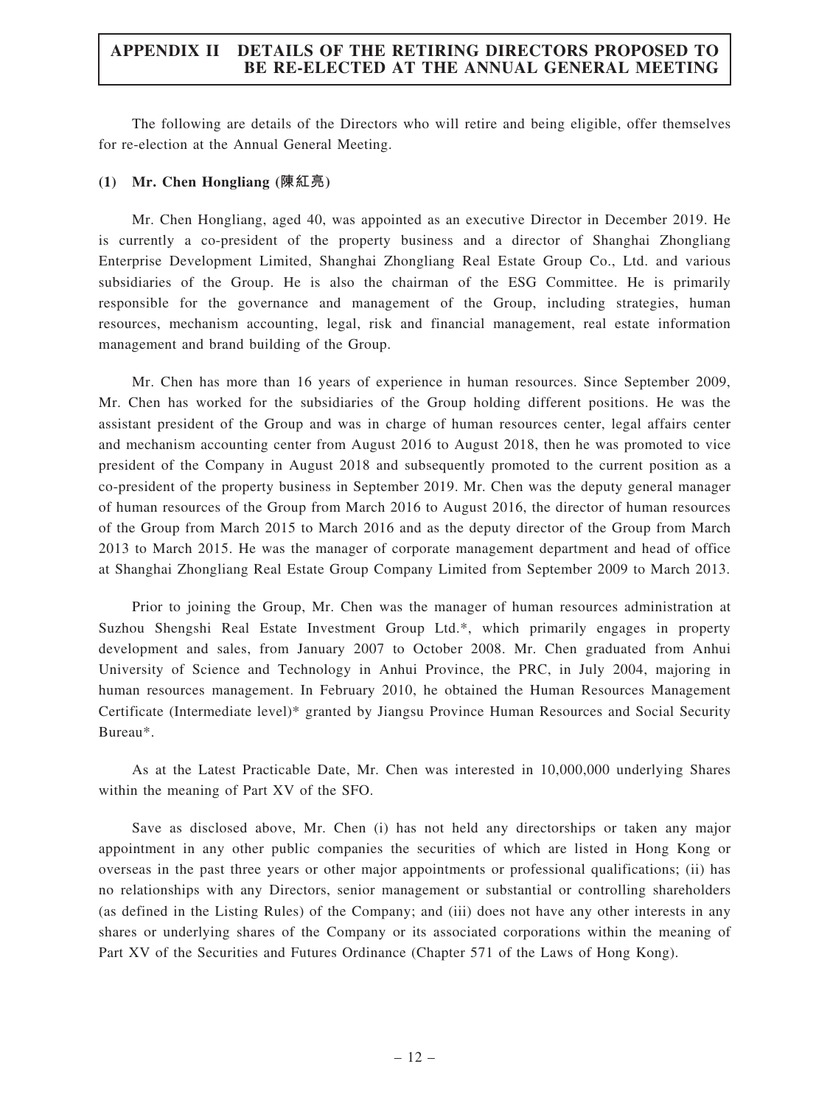The following are details of the Directors who will retire and being eligible, offer themselves for re-election at the Annual General Meeting.

#### (1) Mr. Chen Hongliang (陳紅亮)

Mr. Chen Hongliang, aged 40, was appointed as an executive Director in December 2019. He is currently a co-president of the property business and a director of Shanghai Zhongliang Enterprise Development Limited, Shanghai Zhongliang Real Estate Group Co., Ltd. and various subsidiaries of the Group. He is also the chairman of the ESG Committee. He is primarily responsible for the governance and management of the Group, including strategies, human resources, mechanism accounting, legal, risk and financial management, real estate information management and brand building of the Group.

Mr. Chen has more than 16 years of experience in human resources. Since September 2009, Mr. Chen has worked for the subsidiaries of the Group holding different positions. He was the assistant president of the Group and was in charge of human resources center, legal affairs center and mechanism accounting center from August 2016 to August 2018, then he was promoted to vice president of the Company in August 2018 and subsequently promoted to the current position as a co-president of the property business in September 2019. Mr. Chen was the deputy general manager of human resources of the Group from March 2016 to August 2016, the director of human resources of the Group from March 2015 to March 2016 and as the deputy director of the Group from March 2013 to March 2015. He was the manager of corporate management department and head of office at Shanghai Zhongliang Real Estate Group Company Limited from September 2009 to March 2013.

Prior to joining the Group, Mr. Chen was the manager of human resources administration at Suzhou Shengshi Real Estate Investment Group Ltd.\*, which primarily engages in property development and sales, from January 2007 to October 2008. Mr. Chen graduated from Anhui University of Science and Technology in Anhui Province, the PRC, in July 2004, majoring in human resources management. In February 2010, he obtained the Human Resources Management Certificate (Intermediate level)\* granted by Jiangsu Province Human Resources and Social Security Bureau\*.

As at the Latest Practicable Date, Mr. Chen was interested in 10,000,000 underlying Shares within the meaning of Part XV of the SFO.

Save as disclosed above, Mr. Chen (i) has not held any directorships or taken any major appointment in any other public companies the securities of which are listed in Hong Kong or overseas in the past three years or other major appointments or professional qualifications; (ii) has no relationships with any Directors, senior management or substantial or controlling shareholders (as defined in the Listing Rules) of the Company; and (iii) does not have any other interests in any shares or underlying shares of the Company or its associated corporations within the meaning of Part XV of the Securities and Futures Ordinance (Chapter 571 of the Laws of Hong Kong).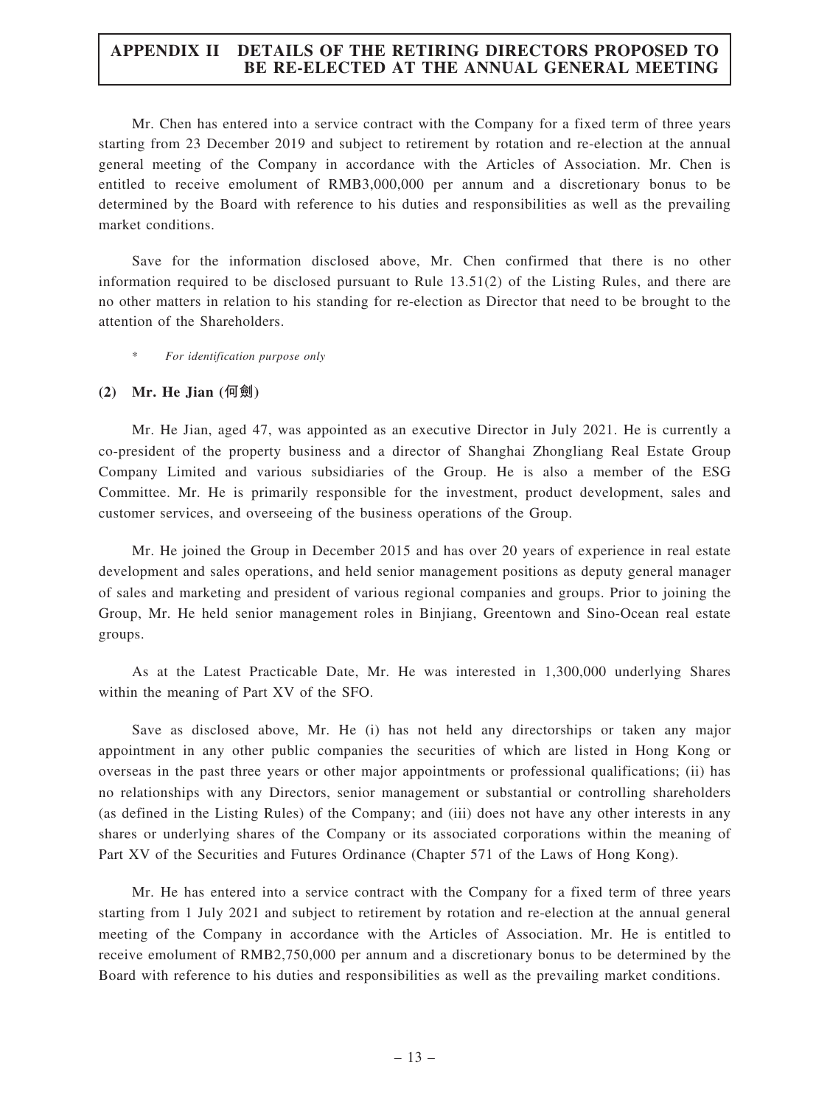Mr. Chen has entered into a service contract with the Company for a fixed term of three years starting from 23 December 2019 and subject to retirement by rotation and re-election at the annual general meeting of the Company in accordance with the Articles of Association. Mr. Chen is entitled to receive emolument of RMB3,000,000 per annum and a discretionary bonus to be determined by the Board with reference to his duties and responsibilities as well as the prevailing market conditions.

Save for the information disclosed above, Mr. Chen confirmed that there is no other information required to be disclosed pursuant to Rule 13.51(2) of the Listing Rules, and there are no other matters in relation to his standing for re-election as Director that need to be brought to the attention of the Shareholders.

For identification purpose only

#### (2) Mr. He Jian (何劍)

Mr. He Jian, aged 47, was appointed as an executive Director in July 2021. He is currently a co-president of the property business and a director of Shanghai Zhongliang Real Estate Group Company Limited and various subsidiaries of the Group. He is also a member of the ESG Committee. Mr. He is primarily responsible for the investment, product development, sales and customer services, and overseeing of the business operations of the Group.

Mr. He joined the Group in December 2015 and has over 20 years of experience in real estate development and sales operations, and held senior management positions as deputy general manager of sales and marketing and president of various regional companies and groups. Prior to joining the Group, Mr. He held senior management roles in Binjiang, Greentown and Sino-Ocean real estate groups.

As at the Latest Practicable Date, Mr. He was interested in 1,300,000 underlying Shares within the meaning of Part XV of the SFO.

Save as disclosed above, Mr. He (i) has not held any directorships or taken any major appointment in any other public companies the securities of which are listed in Hong Kong or overseas in the past three years or other major appointments or professional qualifications; (ii) has no relationships with any Directors, senior management or substantial or controlling shareholders (as defined in the Listing Rules) of the Company; and (iii) does not have any other interests in any shares or underlying shares of the Company or its associated corporations within the meaning of Part XV of the Securities and Futures Ordinance (Chapter 571 of the Laws of Hong Kong).

Mr. He has entered into a service contract with the Company for a fixed term of three years starting from 1 July 2021 and subject to retirement by rotation and re-election at the annual general meeting of the Company in accordance with the Articles of Association. Mr. He is entitled to receive emolument of RMB2,750,000 per annum and a discretionary bonus to be determined by the Board with reference to his duties and responsibilities as well as the prevailing market conditions.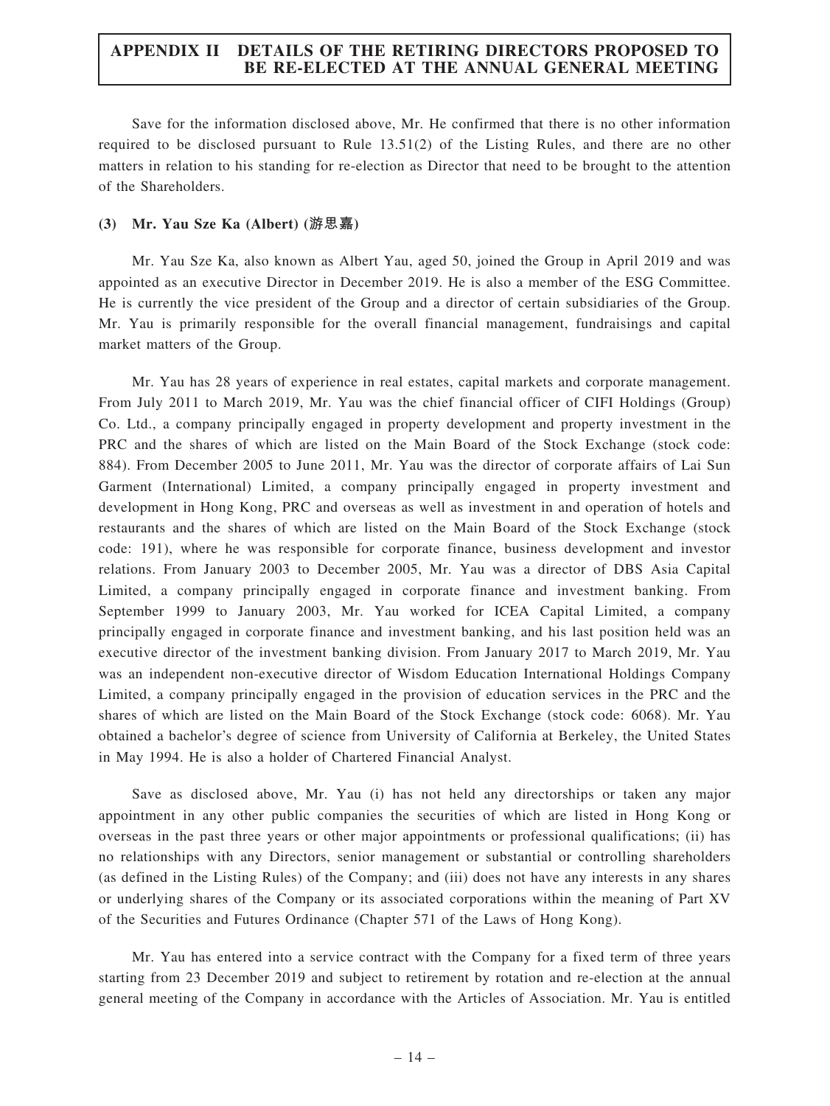Save for the information disclosed above, Mr. He confirmed that there is no other information required to be disclosed pursuant to Rule 13.51(2) of the Listing Rules, and there are no other matters in relation to his standing for re-election as Director that need to be brought to the attention of the Shareholders.

#### (3) Mr. Yau Sze Ka (Albert) (游思嘉)

Mr. Yau Sze Ka, also known as Albert Yau, aged 50, joined the Group in April 2019 and was appointed as an executive Director in December 2019. He is also a member of the ESG Committee. He is currently the vice president of the Group and a director of certain subsidiaries of the Group. Mr. Yau is primarily responsible for the overall financial management, fundraisings and capital market matters of the Group.

Mr. Yau has 28 years of experience in real estates, capital markets and corporate management. From July 2011 to March 2019, Mr. Yau was the chief financial officer of CIFI Holdings (Group) Co. Ltd., a company principally engaged in property development and property investment in the PRC and the shares of which are listed on the Main Board of the Stock Exchange (stock code: 884). From December 2005 to June 2011, Mr. Yau was the director of corporate affairs of Lai Sun Garment (International) Limited, a company principally engaged in property investment and development in Hong Kong, PRC and overseas as well as investment in and operation of hotels and restaurants and the shares of which are listed on the Main Board of the Stock Exchange (stock code: 191), where he was responsible for corporate finance, business development and investor relations. From January 2003 to December 2005, Mr. Yau was a director of DBS Asia Capital Limited, a company principally engaged in corporate finance and investment banking. From September 1999 to January 2003, Mr. Yau worked for ICEA Capital Limited, a company principally engaged in corporate finance and investment banking, and his last position held was an executive director of the investment banking division. From January 2017 to March 2019, Mr. Yau was an independent non-executive director of Wisdom Education International Holdings Company Limited, a company principally engaged in the provision of education services in the PRC and the shares of which are listed on the Main Board of the Stock Exchange (stock code: 6068). Mr. Yau obtained a bachelor's degree of science from University of California at Berkeley, the United States in May 1994. He is also a holder of Chartered Financial Analyst.

Save as disclosed above, Mr. Yau (i) has not held any directorships or taken any major appointment in any other public companies the securities of which are listed in Hong Kong or overseas in the past three years or other major appointments or professional qualifications; (ii) has no relationships with any Directors, senior management or substantial or controlling shareholders (as defined in the Listing Rules) of the Company; and (iii) does not have any interests in any shares or underlying shares of the Company or its associated corporations within the meaning of Part XV of the Securities and Futures Ordinance (Chapter 571 of the Laws of Hong Kong).

Mr. Yau has entered into a service contract with the Company for a fixed term of three years starting from 23 December 2019 and subject to retirement by rotation and re-election at the annual general meeting of the Company in accordance with the Articles of Association. Mr. Yau is entitled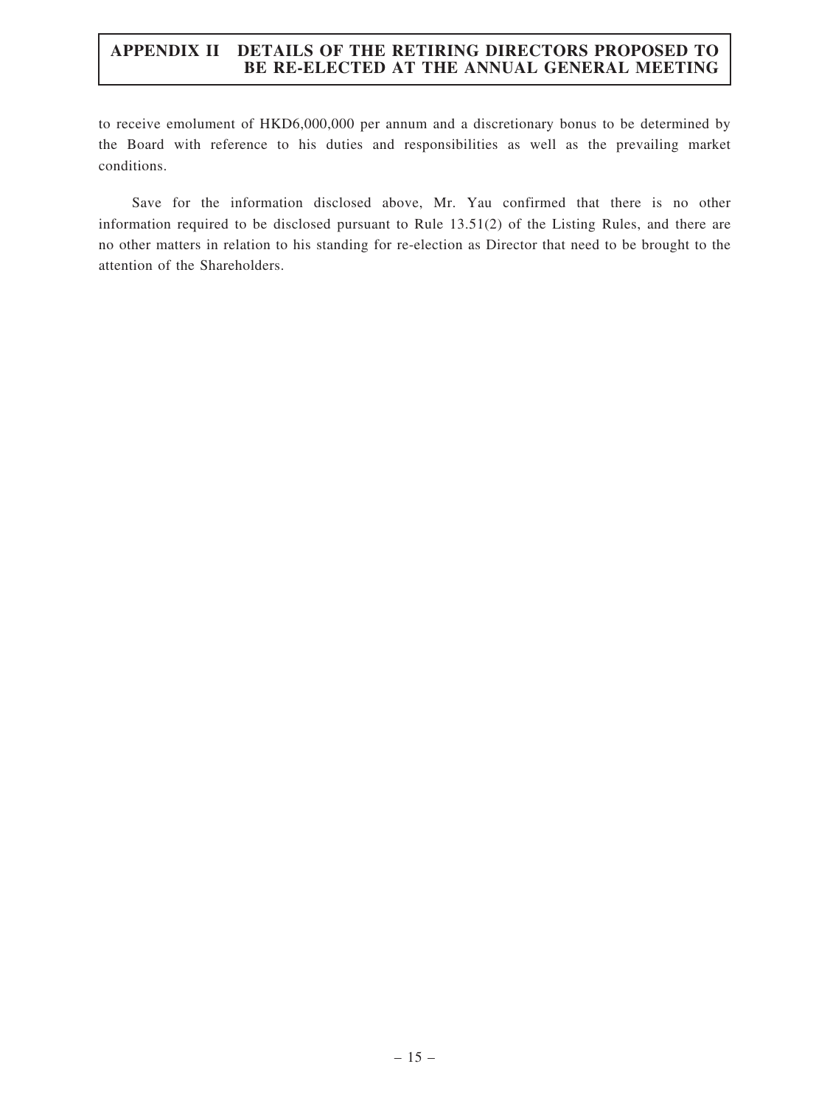to receive emolument of HKD6,000,000 per annum and a discretionary bonus to be determined by the Board with reference to his duties and responsibilities as well as the prevailing market conditions.

Save for the information disclosed above, Mr. Yau confirmed that there is no other information required to be disclosed pursuant to Rule 13.51(2) of the Listing Rules, and there are no other matters in relation to his standing for re-election as Director that need to be brought to the attention of the Shareholders.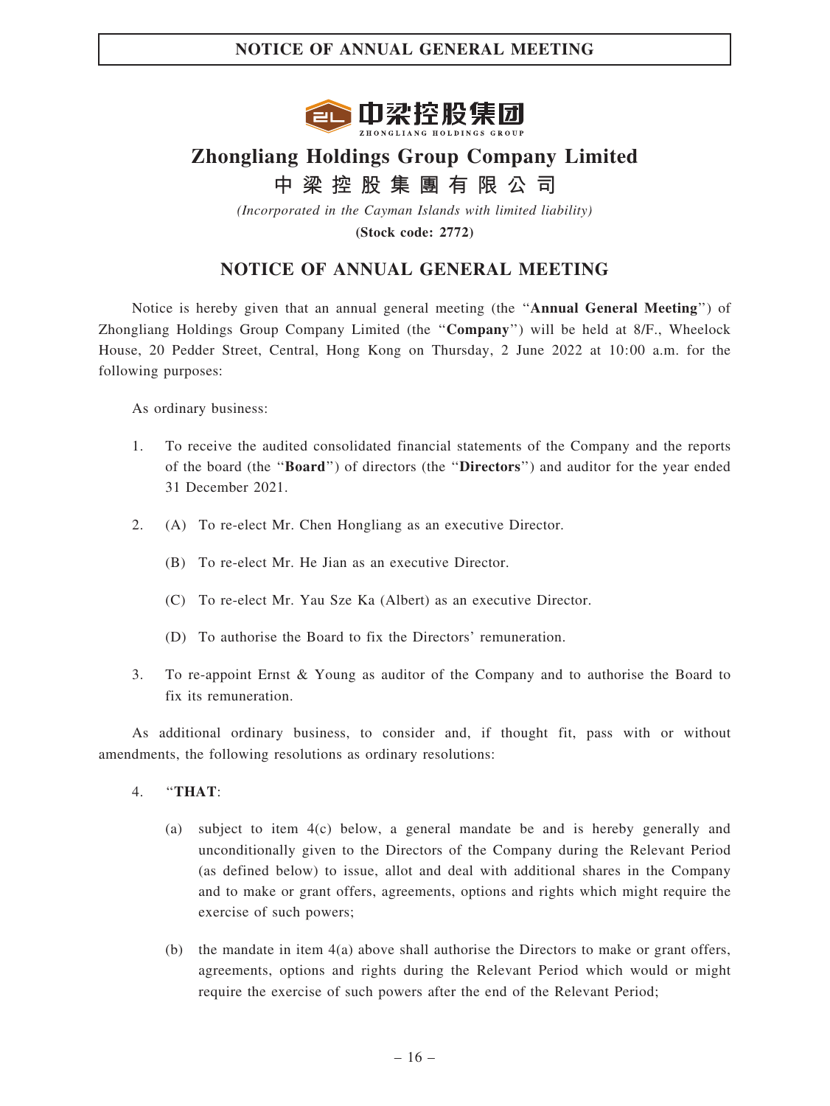

# Zhongliang Holdings Group Company Limited 中 梁 控 股 集 團 有 限 公 司

(Incorporated in the Cayman Islands with limited liability) (Stock code: 2772)

# NOTICE OF ANNUAL GENERAL MEETING

Notice is hereby given that an annual general meeting (the ''Annual General Meeting'') of Zhongliang Holdings Group Company Limited (the ''Company'') will be held at 8/F., Wheelock House, 20 Pedder Street, Central, Hong Kong on Thursday, 2 June 2022 at 10:00 a.m. for the following purposes:

As ordinary business:

- 1. To receive the audited consolidated financial statements of the Company and the reports of the board (the ''Board'') of directors (the ''Directors'') and auditor for the year ended 31 December 2021.
- 2. (A) To re-elect Mr. Chen Hongliang as an executive Director.
	- (B) To re-elect Mr. He Jian as an executive Director.
	- (C) To re-elect Mr. Yau Sze Ka (Albert) as an executive Director.
	- (D) To authorise the Board to fix the Directors' remuneration.
- 3. To re-appoint Ernst & Young as auditor of the Company and to authorise the Board to fix its remuneration.

As additional ordinary business, to consider and, if thought fit, pass with or without amendments, the following resolutions as ordinary resolutions:

- 4. ''THAT:
	- (a) subject to item 4(c) below, a general mandate be and is hereby generally and unconditionally given to the Directors of the Company during the Relevant Period (as defined below) to issue, allot and deal with additional shares in the Company and to make or grant offers, agreements, options and rights which might require the exercise of such powers;
	- (b) the mandate in item 4(a) above shall authorise the Directors to make or grant offers, agreements, options and rights during the Relevant Period which would or might require the exercise of such powers after the end of the Relevant Period;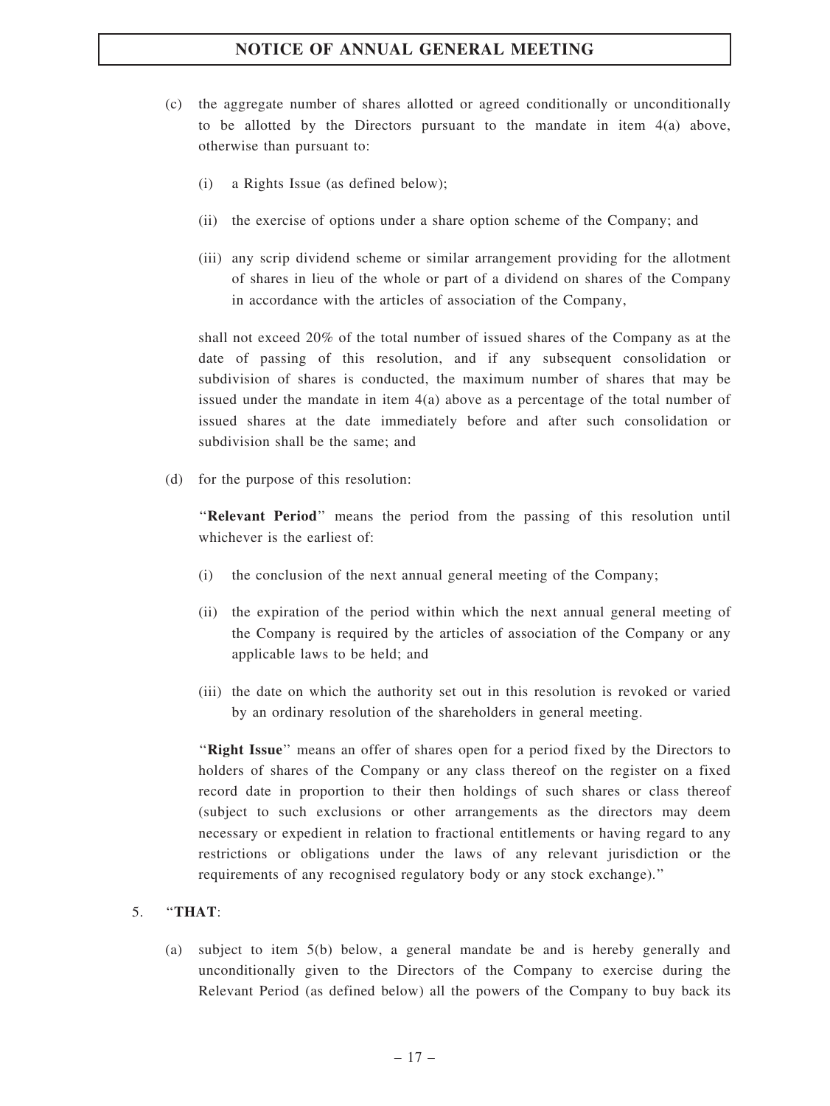- (c) the aggregate number of shares allotted or agreed conditionally or unconditionally to be allotted by the Directors pursuant to the mandate in item  $4(a)$  above, otherwise than pursuant to:
	- (i) a Rights Issue (as defined below);
	- (ii) the exercise of options under a share option scheme of the Company; and
	- (iii) any scrip dividend scheme or similar arrangement providing for the allotment of shares in lieu of the whole or part of a dividend on shares of the Company in accordance with the articles of association of the Company,

shall not exceed 20% of the total number of issued shares of the Company as at the date of passing of this resolution, and if any subsequent consolidation or subdivision of shares is conducted, the maximum number of shares that may be issued under the mandate in item 4(a) above as a percentage of the total number of issued shares at the date immediately before and after such consolidation or subdivision shall be the same; and

(d) for the purpose of this resolution:

''Relevant Period'' means the period from the passing of this resolution until whichever is the earliest of:

- (i) the conclusion of the next annual general meeting of the Company;
- (ii) the expiration of the period within which the next annual general meeting of the Company is required by the articles of association of the Company or any applicable laws to be held; and
- (iii) the date on which the authority set out in this resolution is revoked or varied by an ordinary resolution of the shareholders in general meeting.

''Right Issue'' means an offer of shares open for a period fixed by the Directors to holders of shares of the Company or any class thereof on the register on a fixed record date in proportion to their then holdings of such shares or class thereof (subject to such exclusions or other arrangements as the directors may deem necessary or expedient in relation to fractional entitlements or having regard to any restrictions or obligations under the laws of any relevant jurisdiction or the requirements of any recognised regulatory body or any stock exchange).''

#### 5. ''THAT:

(a) subject to item 5(b) below, a general mandate be and is hereby generally and unconditionally given to the Directors of the Company to exercise during the Relevant Period (as defined below) all the powers of the Company to buy back its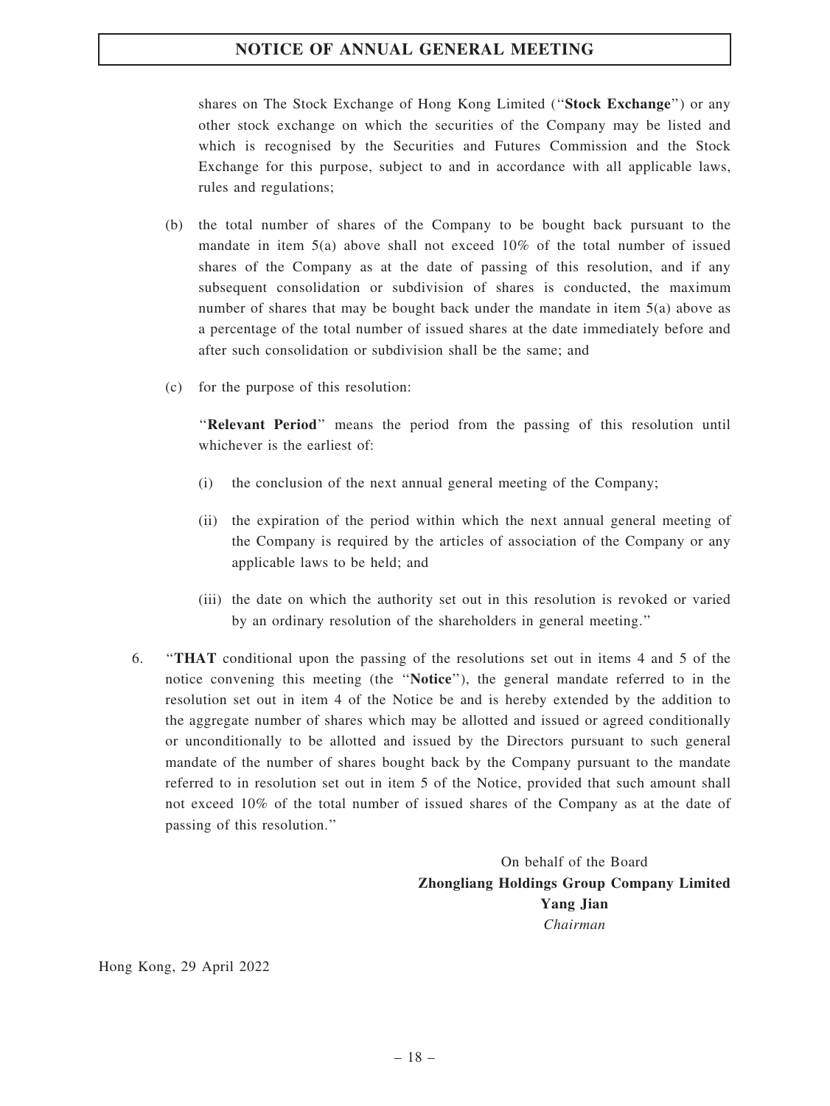shares on The Stock Exchange of Hong Kong Limited ("Stock Exchange") or any other stock exchange on which the securities of the Company may be listed and which is recognised by the Securities and Futures Commission and the Stock Exchange for this purpose, subject to and in accordance with all applicable laws, rules and regulations;

- (b) the total number of shares of the Company to be bought back pursuant to the mandate in item 5(a) above shall not exceed 10% of the total number of issued shares of the Company as at the date of passing of this resolution, and if any subsequent consolidation or subdivision of shares is conducted, the maximum number of shares that may be bought back under the mandate in item 5(a) above as a percentage of the total number of issued shares at the date immediately before and after such consolidation or subdivision shall be the same; and
- (c) for the purpose of this resolution:

''Relevant Period'' means the period from the passing of this resolution until whichever is the earliest of:

- (i) the conclusion of the next annual general meeting of the Company;
- (ii) the expiration of the period within which the next annual general meeting of the Company is required by the articles of association of the Company or any applicable laws to be held; and
- (iii) the date on which the authority set out in this resolution is revoked or varied by an ordinary resolution of the shareholders in general meeting.''
- 6. ''THAT conditional upon the passing of the resolutions set out in items 4 and 5 of the notice convening this meeting (the ''Notice''), the general mandate referred to in the resolution set out in item 4 of the Notice be and is hereby extended by the addition to the aggregate number of shares which may be allotted and issued or agreed conditionally or unconditionally to be allotted and issued by the Directors pursuant to such general mandate of the number of shares bought back by the Company pursuant to the mandate referred to in resolution set out in item 5 of the Notice, provided that such amount shall not exceed 10% of the total number of issued shares of the Company as at the date of passing of this resolution.''

On behalf of the Board Zhongliang Holdings Group Company Limited Yang Jian Chairman

Hong Kong, 29 April 2022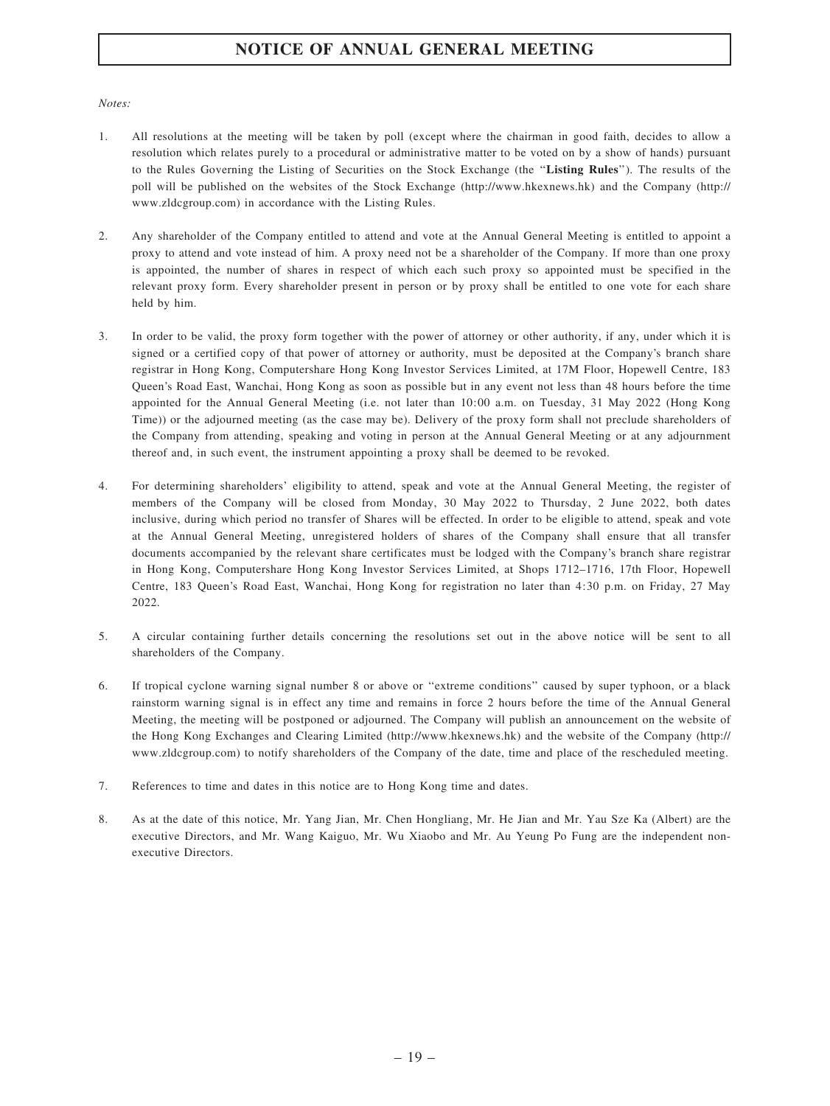#### Notes:

- 1. All resolutions at the meeting will be taken by poll (except where the chairman in good faith, decides to allow a resolution which relates purely to a procedural or administrative matter to be voted on by a show of hands) pursuant to the Rules Governing the Listing of Securities on the Stock Exchange (the ''Listing Rules''). The results of the poll will be published on the websites of the Stock Exchange (http://www.hkexnews.hk) and the Company (http:// www.zldcgroup.com) in accordance with the Listing Rules.
- 2. Any shareholder of the Company entitled to attend and vote at the Annual General Meeting is entitled to appoint a proxy to attend and vote instead of him. A proxy need not be a shareholder of the Company. If more than one proxy is appointed, the number of shares in respect of which each such proxy so appointed must be specified in the relevant proxy form. Every shareholder present in person or by proxy shall be entitled to one vote for each share held by him.
- 3. In order to be valid, the proxy form together with the power of attorney or other authority, if any, under which it is signed or a certified copy of that power of attorney or authority, must be deposited at the Company's branch share registrar in Hong Kong, Computershare Hong Kong Investor Services Limited, at 17M Floor, Hopewell Centre, 183 Queen's Road East, Wanchai, Hong Kong as soon as possible but in any event not less than 48 hours before the time appointed for the Annual General Meeting (i.e. not later than 10:00 a.m. on Tuesday, 31 May 2022 (Hong Kong Time)) or the adjourned meeting (as the case may be). Delivery of the proxy form shall not preclude shareholders of the Company from attending, speaking and voting in person at the Annual General Meeting or at any adjournment thereof and, in such event, the instrument appointing a proxy shall be deemed to be revoked.
- 4. For determining shareholders' eligibility to attend, speak and vote at the Annual General Meeting, the register of members of the Company will be closed from Monday, 30 May 2022 to Thursday, 2 June 2022, both dates inclusive, during which period no transfer of Shares will be effected. In order to be eligible to attend, speak and vote at the Annual General Meeting, unregistered holders of shares of the Company shall ensure that all transfer documents accompanied by the relevant share certificates must be lodged with the Company's branch share registrar in Hong Kong, Computershare Hong Kong Investor Services Limited, at Shops 1712–1716, 17th Floor, Hopewell Centre, 183 Queen's Road East, Wanchai, Hong Kong for registration no later than 4:30 p.m. on Friday, 27 May 2022.
- 5. A circular containing further details concerning the resolutions set out in the above notice will be sent to all shareholders of the Company.
- 6. If tropical cyclone warning signal number 8 or above or ''extreme conditions'' caused by super typhoon, or a black rainstorm warning signal is in effect any time and remains in force 2 hours before the time of the Annual General Meeting, the meeting will be postponed or adjourned. The Company will publish an announcement on the website of the Hong Kong Exchanges and Clearing Limited (http://www.hkexnews.hk) and the website of the Company (http:// www.zldcgroup.com) to notify shareholders of the Company of the date, time and place of the rescheduled meeting.
- 7. References to time and dates in this notice are to Hong Kong time and dates.
- 8. As at the date of this notice, Mr. Yang Jian, Mr. Chen Hongliang, Mr. He Jian and Mr. Yau Sze Ka (Albert) are the executive Directors, and Mr. Wang Kaiguo, Mr. Wu Xiaobo and Mr. Au Yeung Po Fung are the independent nonexecutive Directors.